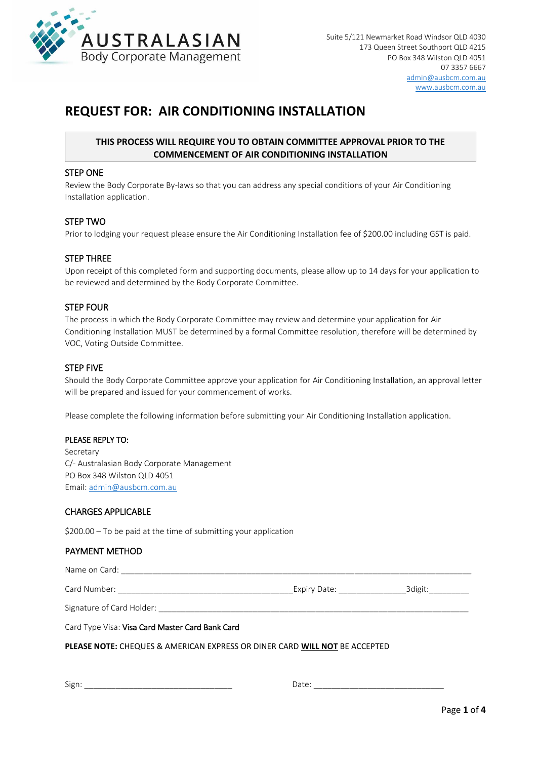

# **REQUEST FOR: AIR CONDITIONING INSTALLATION**

# **THIS PROCESS WILL REQUIRE YOU TO OBTAIN COMMITTEE APPROVAL PRIOR TO THE COMMENCEMENT OF AIR CONDITIONING INSTALLATION**

#### STEP ONE

Review the Body Corporate By-laws so that you can address any special conditions of your Air Conditioning Installation application.

#### STEP TWO

Prior to lodging your request please ensure the Air Conditioning Installation fee of \$200.00 including GST is paid.

## STEP THREE

Upon receipt of this completed form and supporting documents, please allow up to 14 days for your application to be reviewed and determined by the Body Corporate Committee.

## STEP FOUR

The process in which the Body Corporate Committee may review and determine your application for Air Conditioning Installation MUST be determined by a formal Committee resolution, therefore will be determined by VOC, Voting Outside Committee.

#### STEP FIVE

Should the Body Corporate Committee approve your application for Air Conditioning Installation, an approval letter will be prepared and issued for your commencement of works.

Please complete the following information before submitting your Air Conditioning Installation application.

#### PLEASE REPLY TO:

Secretary C/- Australasian Body Corporate Management PO Box 348 Wilston QLD 4051 Email: [admin@ausbcm.com.au](mailto:admin@ausbcm.com.au)

## CHARGES APPLICABLE

\$200.00 – To be paid at the time of submitting your application

#### PAYMENT METHOD

Card Number: \_\_\_\_\_\_\_\_\_\_\_\_\_\_\_\_\_\_\_\_\_\_\_\_\_\_\_\_\_\_\_\_\_\_\_\_\_\_\_Expiry Date: \_\_\_\_\_\_\_\_\_\_\_\_\_\_\_3digit:\_\_\_\_\_\_\_\_\_

Signature of Card Holder:

Card Type Visa: Visa Card Master Card Bank Card

Name on Card:  $\Box$ 

**PLEASE NOTE:** CHEQUES & AMERICAN EXPRESS OR DINER CARD **WILL NOT** BE ACCEPTED

Sign: \_\_\_\_\_\_\_\_\_\_\_\_\_\_\_\_\_\_\_\_\_\_\_\_\_\_\_\_\_\_\_\_\_ Date: \_\_\_\_\_\_\_\_\_\_\_\_\_\_\_\_\_\_\_\_\_\_\_\_\_\_\_\_\_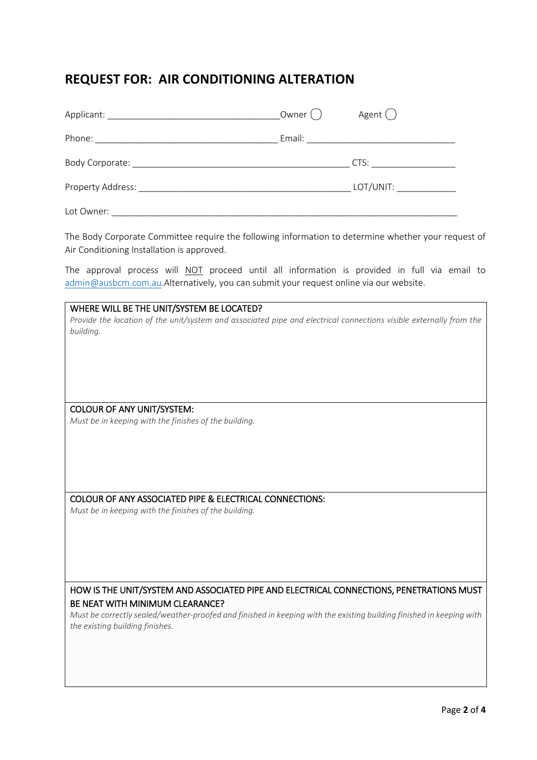# **REQUEST FOR: AIR CONDITIONING ALTERATION**

| Applicant: Applicant:                                | Owner () | Agent (                                                                                                                                                                                                                        |
|------------------------------------------------------|----------|--------------------------------------------------------------------------------------------------------------------------------------------------------------------------------------------------------------------------------|
|                                                      |          |                                                                                                                                                                                                                                |
| Body Corporate: National According to the Corporate: |          | CTS: the contract of the contract of the contract of the contract of the contract of the contract of the contract of the contract of the contract of the contract of the contract of the contract of the contract of the contr |
| Property Address:                                    |          | LOT/UNIT: _______________                                                                                                                                                                                                      |
| Lot Owner:                                           |          |                                                                                                                                                                                                                                |

The Body Corporate Committee require the following information to determine whether your request of Air Conditioning Installation is approved.

The approval process will NOT proceed until all information is provided in full via email to [admin@ausbcm.com.au.](mailto:admin@ausbcm.com.au)Alternatively, you can submit your request online via our website.

# WHERE WILL BE THE UNIT/SYSTEM BE LOCATED? *Provide the location of the unit/system and associated pipe and electrical connections visible externally from the building.* COLOUR OF ANY UNIT/SYSTEM: *Must be in keeping with the finishes of the building.* COLOUR OF ANY ASSOCIATED PIPE & ELECTRICAL CONNECTIONS: *Must be in keeping with the finishes of the building.* HOW IS THE UNIT/SYSTEM AND ASSOCIATED PIPE AND ELECTRICAL CONNECTIONS, PENETRATIONS MUST BE NEAT WITH MINIMUM CLEARANCE?

*Must be correctly sealed/weather-proofed and finished in keeping with the existing building finished in keeping with the existing building finishes.*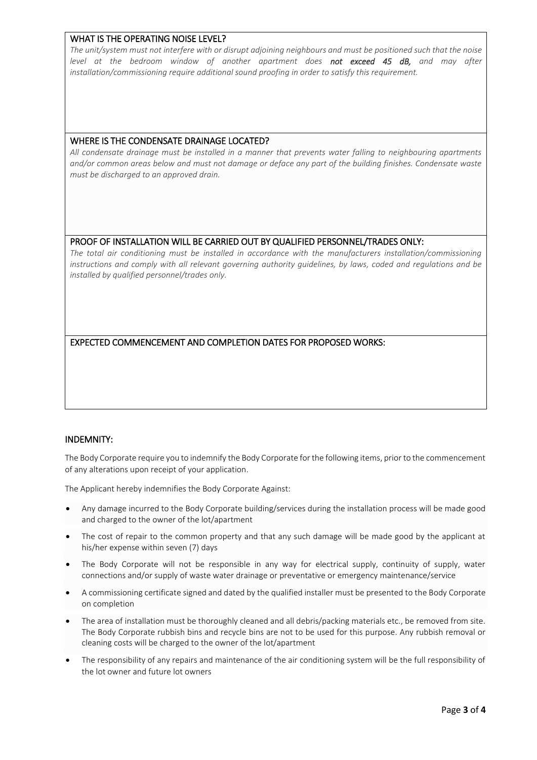# WHAT IS THE OPERATING NOISE LEVEL?

*The unit/system must not interfere with or disrupt adjoining neighbours and must be positioned such that the noise level at the bedroom window of another apartment does not exceed 45 dB, and may after installation/commissioning require additional sound proofing in order to satisfy this requirement.*

# WHERE IS THE CONDENSATE DRAINAGE LOCATED?

*All condensate drainage must be installed in a manner that prevents water falling to neighbouring apartments and/or common areas below and must not damage or deface any part of the building finishes. Condensate waste must be discharged to an approved drain.*

# PROOF OF INSTALLATION WILL BE CARRIED OUT BY QUALIFIED PERSONNEL/TRADES ONLY:

*The total air conditioning must be installed in accordance with the manufacturers installation/commissioning instructions and comply with all relevant governing authority guidelines, by laws, coded and regulations and be installed by qualified personnel/trades only.*

# EXPECTED COMMENCEMENT AND COMPLETION DATES FOR PROPOSED WORKS:

# INDEMNITY:

The Body Corporate require you to indemnify the Body Corporate for the following items, prior to the commencement of any alterations upon receipt of your application.

The Applicant hereby indemnifies the Body Corporate Against:

- Any damage incurred to the Body Corporate building/services during the installation process will be made good and charged to the owner of the lot/apartment
- The cost of repair to the common property and that any such damage will be made good by the applicant at his/her expense within seven (7) days
- The Body Corporate will not be responsible in any way for electrical supply, continuity of supply, water connections and/or supply of waste water drainage or preventative or emergency maintenance/service
- A commissioning certificate signed and dated by the qualified installer must be presented to the Body Corporate on completion
- The area of installation must be thoroughly cleaned and all debris/packing materials etc., be removed from site. The Body Corporate rubbish bins and recycle bins are not to be used for this purpose. Any rubbish removal or cleaning costs will be charged to the owner of the lot/apartment
- The responsibility of any repairs and maintenance of the air conditioning system will be the full responsibility of the lot owner and future lot owners